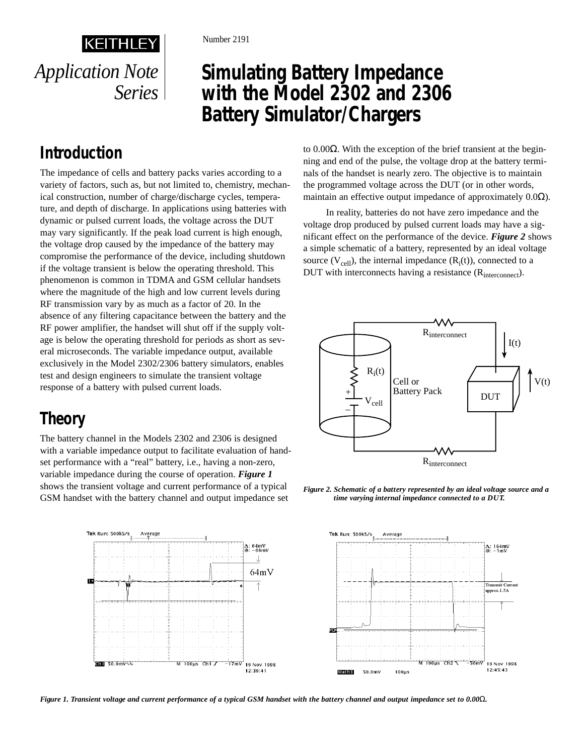# **Simulating Battery Impedance with the Model 2302 and 2306 Battery Simulator/Chargers**

## **Introduction**

*Application Note*

**KEITHLEY** 

*Series*

The impedance of cells and battery packs varies according to a variety of factors, such as, but not limited to, chemistry, mechanical construction, number of charge/discharge cycles, temperature, and depth of discharge. In applications using batteries with dynamic or pulsed current loads, the voltage across the DUT may vary significantly. If the peak load current is high enough, the voltage drop caused by the impedance of the battery may compromise the performance of the device, including shutdown if the voltage transient is below the operating threshold. This phenomenon is common in TDMA and GSM cellular handsets where the magnitude of the high and low current levels during RF transmission vary by as much as a factor of 20. In the absence of any filtering capacitance between the battery and the RF power amplifier, the handset will shut off if the supply voltage is below the operating threshold for periods as short as several microseconds. The variable impedance output, available exclusively in the Model 2302/2306 battery simulators, enables test and design engineers to simulate the transient voltage response of a battery with pulsed current loads.

### **Theory**

The battery channel in the Models 2302 and 2306 is designed with a variable impedance output to facilitate evaluation of handset performance with a "real" battery, i.e., having a non-zero, variable impedance during the course of operation. *Figure 1* shows the transient voltage and current performance of a typical GSM handset with the battery channel and output impedance set



to 0.00Ω. With the exception of the brief transient at the beginning and end of the pulse, the voltage drop at the battery terminals of the handset is nearly zero. The objective is to maintain the programmed voltage across the DUT (or in other words, maintain an effective output impedance of approximately 0.0Ω).

In reality, batteries do not have zero impedance and the voltage drop produced by pulsed current loads may have a significant effect on the performance of the device. *Figure 2* shows a simple schematic of a battery, represented by an ideal voltage source  $(V_{cell})$ , the internal impedance  $(R_i(t))$ , connected to a DUT with interconnects having a resistance  $(R<sub>interconnect</sub>)$ .







*Figure 1. Transient voltage and current performance of a typical GSM handset with the battery channel and output impedance set to 0.00*Ω*.*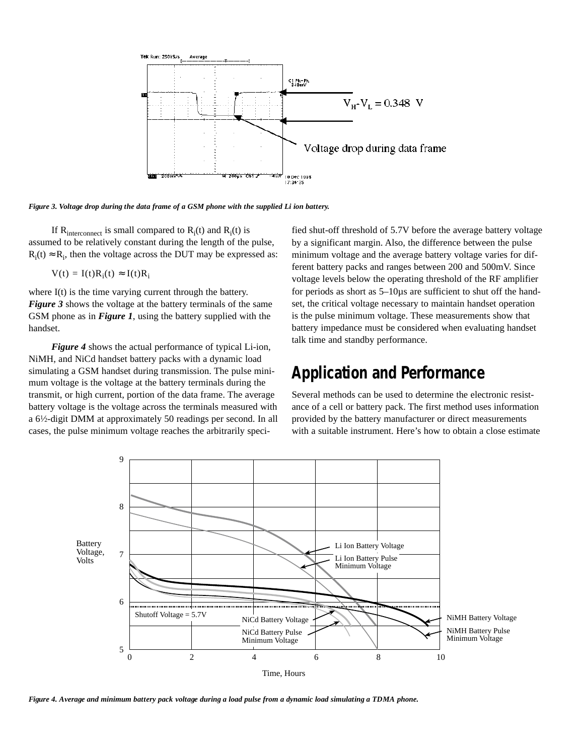

*Figure 3. Voltage drop during the data frame of a GSM phone with the supplied Li ion battery.*

If  $R_{interconnect}$  is small compared to  $R_i(t)$  and  $R_i(t)$  is assumed to be relatively constant during the length of the pulse,  $R_i(t) \approx R_i$ , then the voltage across the DUT may be expressed as:

 $V(t) = I(t)R_i(t) \approx I(t)R_i$ 

where I(t) is the time varying current through the battery. *Figure 3* shows the voltage at the battery terminals of the same GSM phone as in *Figure 1*, using the battery supplied with the handset.

*Figure 4* shows the actual performance of typical Li-ion, NiMH, and NiCd handset battery packs with a dynamic load simulating a GSM handset during transmission. The pulse minimum voltage is the voltage at the battery terminals during the transmit, or high current, portion of the data frame. The average battery voltage is the voltage across the terminals measured with a 61⁄2-digit DMM at approximately 50 readings per second. In all cases, the pulse minimum voltage reaches the arbitrarily specified shut-off threshold of 5.7V before the average battery voltage by a significant margin. Also, the difference between the pulse minimum voltage and the average battery voltage varies for different battery packs and ranges between 200 and 500mV. Since voltage levels below the operating threshold of the RF amplifier for periods as short as 5–10µs are sufficient to shut off the handset, the critical voltage necessary to maintain handset operation is the pulse minimum voltage. These measurements show that battery impedance must be considered when evaluating handset talk time and standby performance.

#### **Application and Performance**

Several methods can be used to determine the electronic resistance of a cell or battery pack. The first method uses information provided by the battery manufacturer or direct measurements with a suitable instrument. Here's how to obtain a close estimate



*Figure 4. Average and minimum battery pack voltage during a load pulse from a dynamic load simulating a TDMA phone.*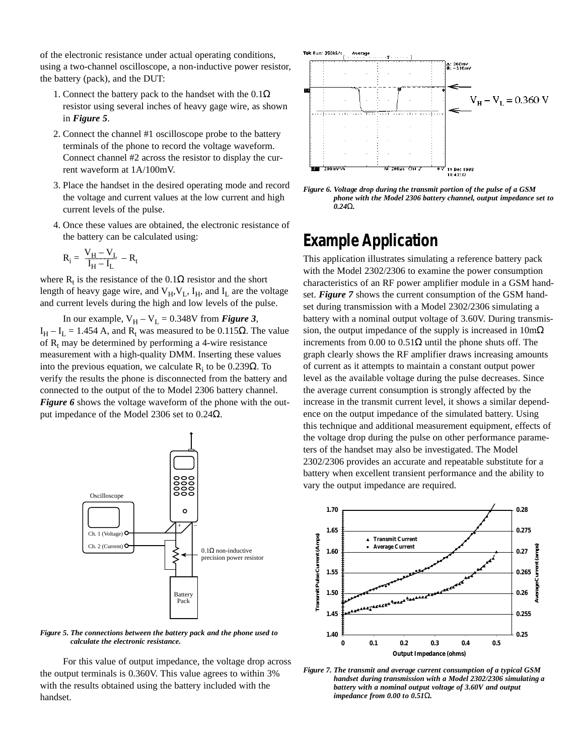of the electronic resistance under actual operating conditions, using a two-channel oscilloscope, a non-inductive power resistor, the battery (pack), and the DUT:

- 1. Connect the battery pack to the handset with the  $0.1\Omega$ resistor using several inches of heavy gage wire, as shown in *Figure 5*.
- 2. Connect the channel #1 oscilloscope probe to the battery terminals of the phone to record the voltage waveform. Connect channel #2 across the resistor to display the current waveform at 1A/100mV.
- 3. Place the handset in the desired operating mode and record the voltage and current values at the low current and high current levels of the pulse.
- 4. Once these values are obtained, the electronic resistance of the battery can be calculated using:

$$
R_i = \ \frac{V_H - V_L}{I_H - I_L} \ - R_t
$$

where  $R_t$  is the resistance of the 0.1 $\Omega$  resistor and the short length of heavy gage wire, and  $V_H$ ,  $V_L$ ,  $I_H$ , and  $I_L$  are the voltage and current levels during the high and low levels of the pulse.

In our example,  $V_H - V_L = 0.348V$  from *Figure 3*,  $I_H - I_L = 1.454$  A, and R<sub>t</sub> was measured to be 0.115Ω. The value of  $R_t$  may be determined by performing a 4-wire resistance measurement with a high-quality DMM. Inserting these values into the previous equation, we calculate  $R_i$  to be 0.239 $\Omega$ . To verify the results the phone is disconnected from the battery and connected to the output of the to Model 2306 battery channel. *Figure 6* shows the voltage waveform of the phone with the output impedance of the Model 2306 set to 0.24Ω.



*Figure 5. The connections between the battery pack and the phone used to calculate the electronic resistance.*

For this value of output impedance, the voltage drop across the output terminals is 0.360V. This value agrees to within 3% with the results obtained using the battery included with the handset.



*Figure 6. Voltage drop during the transmit portion of the pulse of a GSM phone with the Model 2306 battery channel, output impedance set to 0.24*Ω*.*

#### **Example Application**

This application illustrates simulating a reference battery pack with the Model 2302/2306 to examine the power consumption characteristics of an RF power amplifier module in a GSM handset. *Figure 7* shows the current consumption of the GSM handset during transmission with a Model 2302/2306 simulating a battery with a nominal output voltage of 3.60V. During transmission, the output impedance of the supply is increased in  $10 \text{m}\Omega$ increments from 0.00 to 0.51 $\Omega$  until the phone shuts off. The graph clearly shows the RF amplifier draws increasing amounts of current as it attempts to maintain a constant output power level as the available voltage during the pulse decreases. Since the average current consumption is strongly affected by the increase in the transmit current level, it shows a similar dependence on the output impedance of the simulated battery. Using this technique and additional measurement equipment, effects of the voltage drop during the pulse on other performance parameters of the handset may also be investigated. The Model 2302/2306 provides an accurate and repeatable substitute for a battery when excellent transient performance and the ability to vary the output impedance are required.



*Figure 7. The transmit and average current consumption of a typical GSM handset during transmission with a Model 2302/2306 simulating a battery with a nominal output voltage of 3.60V and output impedance from 0.00 to 0.51*Ω*.*